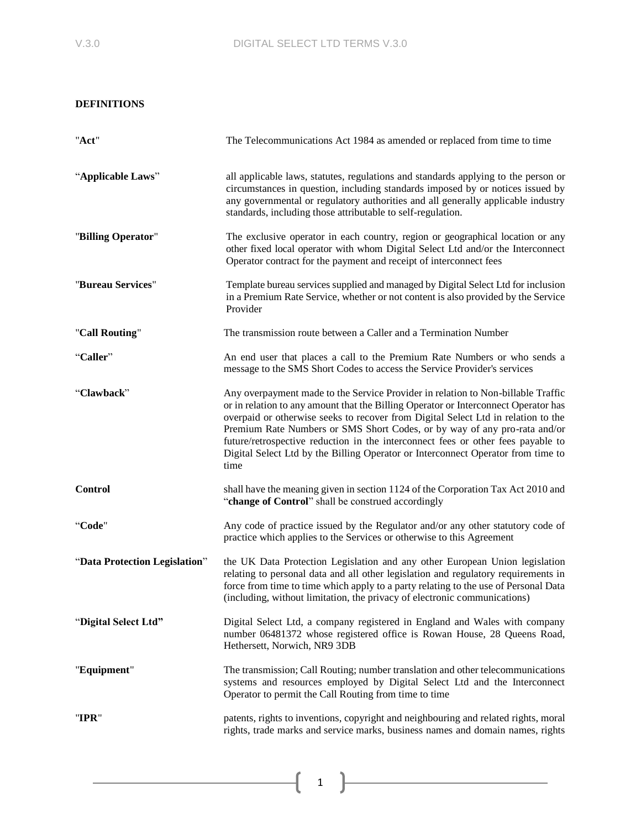# **DEFINITIONS**

| "Act"                         | The Telecommunications Act 1984 as amended or replaced from time to time                                                                                                                                                                                                                                                                                                                                                                                                                                                  |  |
|-------------------------------|---------------------------------------------------------------------------------------------------------------------------------------------------------------------------------------------------------------------------------------------------------------------------------------------------------------------------------------------------------------------------------------------------------------------------------------------------------------------------------------------------------------------------|--|
| "Applicable Laws"             | all applicable laws, statutes, regulations and standards applying to the person or<br>circumstances in question, including standards imposed by or notices issued by<br>any governmental or regulatory authorities and all generally applicable industry<br>standards, including those attributable to self-regulation.                                                                                                                                                                                                   |  |
| "Billing Operator"            | The exclusive operator in each country, region or geographical location or any<br>other fixed local operator with whom Digital Select Ltd and/or the Interconnect<br>Operator contract for the payment and receipt of interconnect fees                                                                                                                                                                                                                                                                                   |  |
| "Bureau Services"             | Template bureau services supplied and managed by Digital Select Ltd for inclusion<br>in a Premium Rate Service, whether or not content is also provided by the Service<br>Provider                                                                                                                                                                                                                                                                                                                                        |  |
| "Call Routing"                | The transmission route between a Caller and a Termination Number                                                                                                                                                                                                                                                                                                                                                                                                                                                          |  |
| "Caller"                      | An end user that places a call to the Premium Rate Numbers or who sends a<br>message to the SMS Short Codes to access the Service Provider's services                                                                                                                                                                                                                                                                                                                                                                     |  |
| "Clawback"                    | Any overpayment made to the Service Provider in relation to Non-billable Traffic<br>or in relation to any amount that the Billing Operator or Interconnect Operator has<br>overpaid or otherwise seeks to recover from Digital Select Ltd in relation to the<br>Premium Rate Numbers or SMS Short Codes, or by way of any pro-rata and/or<br>future/retrospective reduction in the interconnect fees or other fees payable to<br>Digital Select Ltd by the Billing Operator or Interconnect Operator from time to<br>time |  |
| <b>Control</b>                | shall have the meaning given in section 1124 of the Corporation Tax Act 2010 and<br>"change of Control" shall be construed accordingly                                                                                                                                                                                                                                                                                                                                                                                    |  |
| "Code"                        | Any code of practice issued by the Regulator and/or any other statutory code of<br>practice which applies to the Services or otherwise to this Agreement                                                                                                                                                                                                                                                                                                                                                                  |  |
| "Data Protection Legislation" | the UK Data Protection Legislation and any other European Union legislation<br>relating to personal data and all other legislation and regulatory requirements in<br>force from time to time which apply to a party relating to the use of Personal Data<br>(including, without limitation, the privacy of electronic communications)                                                                                                                                                                                     |  |
| "Digital Select Ltd"          | Digital Select Ltd, a company registered in England and Wales with company<br>number 06481372 whose registered office is Rowan House, 28 Queens Road,<br>Hethersett, Norwich, NR9 3DB                                                                                                                                                                                                                                                                                                                                     |  |
| "Equipment"                   | The transmission; Call Routing; number translation and other telecommunications<br>systems and resources employed by Digital Select Ltd and the Interconnect<br>Operator to permit the Call Routing from time to time                                                                                                                                                                                                                                                                                                     |  |
| "IPR"                         | patents, rights to inventions, copyright and neighbouring and related rights, moral<br>rights, trade marks and service marks, business names and domain names, rights                                                                                                                                                                                                                                                                                                                                                     |  |

ſ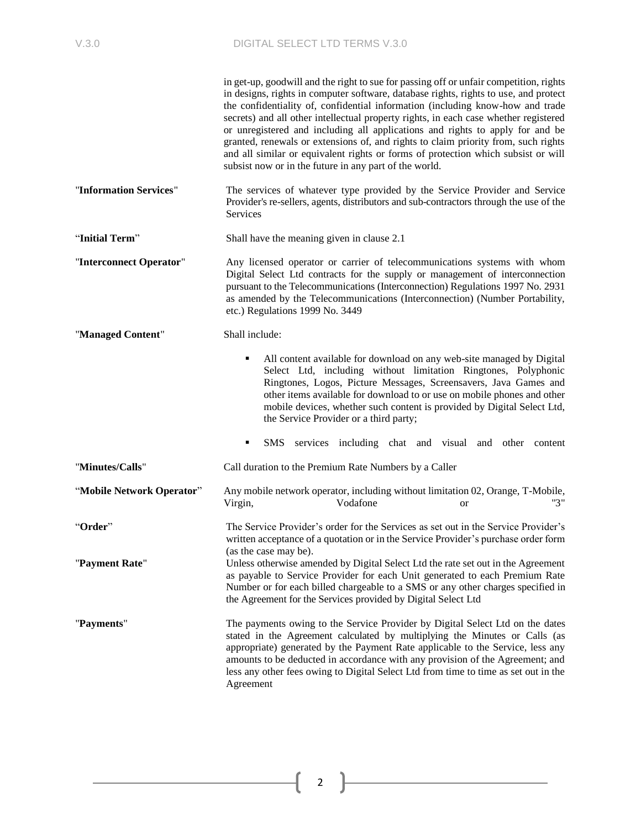|                           | in get-up, goodwill and the right to sue for passing off or unfair competition, rights                                                                                                                                                                                                                                                                                                                                                                                                                                                                                               |  |  |  |
|---------------------------|--------------------------------------------------------------------------------------------------------------------------------------------------------------------------------------------------------------------------------------------------------------------------------------------------------------------------------------------------------------------------------------------------------------------------------------------------------------------------------------------------------------------------------------------------------------------------------------|--|--|--|
|                           | in designs, rights in computer software, database rights, rights to use, and protect<br>the confidentiality of, confidential information (including know-how and trade<br>secrets) and all other intellectual property rights, in each case whether registered<br>or unregistered and including all applications and rights to apply for and be<br>granted, renewals or extensions of, and rights to claim priority from, such rights<br>and all similar or equivalent rights or forms of protection which subsist or will<br>subsist now or in the future in any part of the world. |  |  |  |
| "Information Services"    | The services of whatever type provided by the Service Provider and Service<br>Provider's re-sellers, agents, distributors and sub-contractors through the use of the<br>Services                                                                                                                                                                                                                                                                                                                                                                                                     |  |  |  |
| "Initial Term"            | Shall have the meaning given in clause 2.1                                                                                                                                                                                                                                                                                                                                                                                                                                                                                                                                           |  |  |  |
| "Interconnect Operator"   | Any licensed operator or carrier of telecommunications systems with whom<br>Digital Select Ltd contracts for the supply or management of interconnection<br>pursuant to the Telecommunications (Interconnection) Regulations 1997 No. 2931<br>as amended by the Telecommunications (Interconnection) (Number Portability,<br>etc.) Regulations 1999 No. 3449                                                                                                                                                                                                                         |  |  |  |
| "Managed Content"         | Shall include:                                                                                                                                                                                                                                                                                                                                                                                                                                                                                                                                                                       |  |  |  |
|                           | All content available for download on any web-site managed by Digital<br>٠<br>Select Ltd, including without limitation Ringtones, Polyphonic<br>Ringtones, Logos, Picture Messages, Screensavers, Java Games and<br>other items available for download to or use on mobile phones and other<br>mobile devices, whether such content is provided by Digital Select Ltd,<br>the Service Provider or a third party;                                                                                                                                                                     |  |  |  |
|                           | SMS services including chat and visual and other<br>٠<br>content                                                                                                                                                                                                                                                                                                                                                                                                                                                                                                                     |  |  |  |
| "Minutes/Calls"           | Call duration to the Premium Rate Numbers by a Caller                                                                                                                                                                                                                                                                                                                                                                                                                                                                                                                                |  |  |  |
| "Mobile Network Operator" | Any mobile network operator, including without limitation 02, Orange, T-Mobile,<br>"3"<br>Vodafone<br>Virgin,<br><b>or</b>                                                                                                                                                                                                                                                                                                                                                                                                                                                           |  |  |  |
| "Order"                   | The Service Provider's order for the Services as set out in the Service Provider's<br>written acceptance of a quotation or in the Service Provider's purchase order form                                                                                                                                                                                                                                                                                                                                                                                                             |  |  |  |
| "Payment Rate"            | (as the case may be).<br>Unless otherwise amended by Digital Select Ltd the rate set out in the Agreement<br>as payable to Service Provider for each Unit generated to each Premium Rate<br>Number or for each billed chargeable to a SMS or any other charges specified in<br>the Agreement for the Services provided by Digital Select Ltd                                                                                                                                                                                                                                         |  |  |  |
| "Payments"                | The payments owing to the Service Provider by Digital Select Ltd on the dates<br>stated in the Agreement calculated by multiplying the Minutes or Calls (as<br>appropriate) generated by the Payment Rate applicable to the Service, less any<br>amounts to be deducted in accordance with any provision of the Agreement; and<br>less any other fees owing to Digital Select Ltd from time to time as set out in the<br>Agreement                                                                                                                                                   |  |  |  |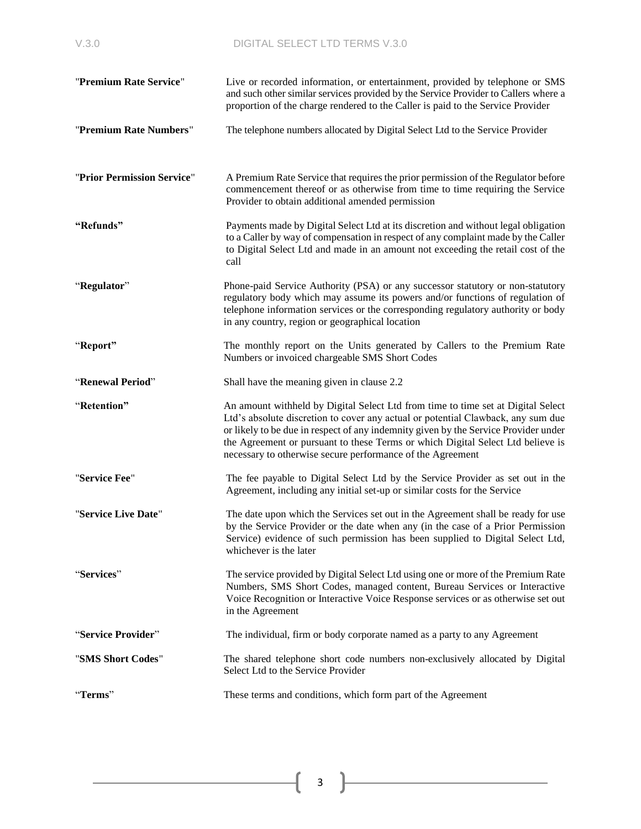| "Premium Rate Service"     | Live or recorded information, or entertainment, provided by telephone or SMS<br>and such other similar services provided by the Service Provider to Callers where a<br>proportion of the charge rendered to the Caller is paid to the Service Provider                                                                                                                                                       |  |
|----------------------------|--------------------------------------------------------------------------------------------------------------------------------------------------------------------------------------------------------------------------------------------------------------------------------------------------------------------------------------------------------------------------------------------------------------|--|
| "Premium Rate Numbers"     | The telephone numbers allocated by Digital Select Ltd to the Service Provider                                                                                                                                                                                                                                                                                                                                |  |
| "Prior Permission Service" | A Premium Rate Service that requires the prior permission of the Regulator before<br>commencement thereof or as otherwise from time to time requiring the Service<br>Provider to obtain additional amended permission                                                                                                                                                                                        |  |
| "Refunds"                  | Payments made by Digital Select Ltd at its discretion and without legal obligation<br>to a Caller by way of compensation in respect of any complaint made by the Caller<br>to Digital Select Ltd and made in an amount not exceeding the retail cost of the<br>call                                                                                                                                          |  |
| "Regulator"                | Phone-paid Service Authority (PSA) or any successor statutory or non-statutory<br>regulatory body which may assume its powers and/or functions of regulation of<br>telephone information services or the corresponding regulatory authority or body<br>in any country, region or geographical location                                                                                                       |  |
| "Report"                   | The monthly report on the Units generated by Callers to the Premium Rate<br>Numbers or invoiced chargeable SMS Short Codes                                                                                                                                                                                                                                                                                   |  |
| "Renewal Period"           | Shall have the meaning given in clause 2.2                                                                                                                                                                                                                                                                                                                                                                   |  |
| "Retention"                | An amount withheld by Digital Select Ltd from time to time set at Digital Select<br>Ltd's absolute discretion to cover any actual or potential Clawback, any sum due<br>or likely to be due in respect of any indemnity given by the Service Provider under<br>the Agreement or pursuant to these Terms or which Digital Select Ltd believe is<br>necessary to otherwise secure performance of the Agreement |  |
| "Service Fee"              | The fee payable to Digital Select Ltd by the Service Provider as set out in the<br>Agreement, including any initial set-up or similar costs for the Service                                                                                                                                                                                                                                                  |  |
| "Service Live Date"        | The date upon which the Services set out in the Agreement shall be ready for use<br>by the Service Provider or the date when any (in the case of a Prior Permission<br>Service) evidence of such permission has been supplied to Digital Select Ltd,<br>whichever is the later                                                                                                                               |  |
| "Services"                 | The service provided by Digital Select Ltd using one or more of the Premium Rate<br>Numbers, SMS Short Codes, managed content, Bureau Services or Interactive<br>Voice Recognition or Interactive Voice Response services or as otherwise set out<br>in the Agreement                                                                                                                                        |  |
| "Service Provider"         | The individual, firm or body corporate named as a party to any Agreement                                                                                                                                                                                                                                                                                                                                     |  |
| "SMS Short Codes"          | The shared telephone short code numbers non-exclusively allocated by Digital<br>Select Ltd to the Service Provider                                                                                                                                                                                                                                                                                           |  |
| "Terms"                    | These terms and conditions, which form part of the Agreement                                                                                                                                                                                                                                                                                                                                                 |  |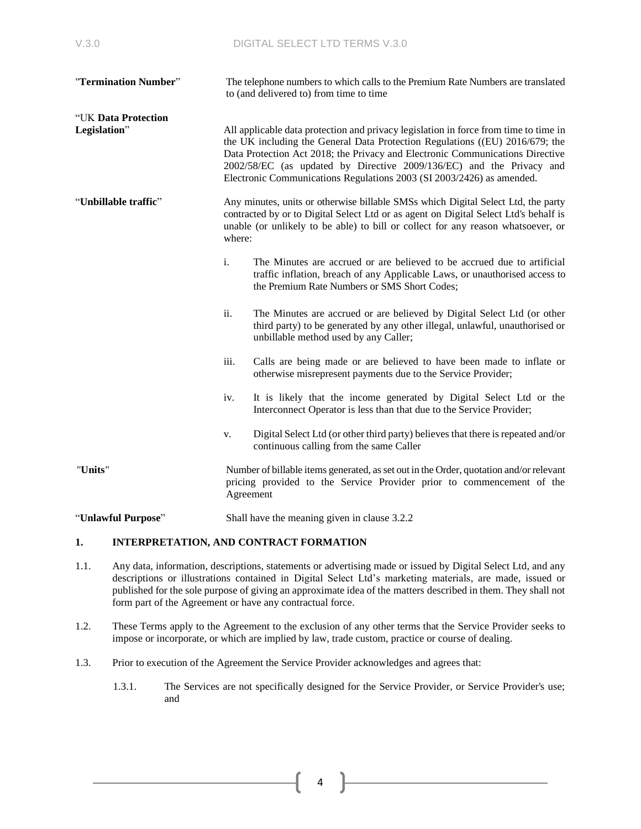| "Termination Number"                |      | The telephone numbers to which calls to the Premium Rate Numbers are translated<br>to (and delivered to) from time to time                                                                                                                                                                                                                                                                             |  |  |
|-------------------------------------|------|--------------------------------------------------------------------------------------------------------------------------------------------------------------------------------------------------------------------------------------------------------------------------------------------------------------------------------------------------------------------------------------------------------|--|--|
| "UK Data Protection<br>Legislation" |      | All applicable data protection and privacy legislation in force from time to time in<br>the UK including the General Data Protection Regulations ((EU) 2016/679; the<br>Data Protection Act 2018; the Privacy and Electronic Communications Directive<br>2002/58/EC (as updated by Directive 2009/136/EC) and the Privacy and<br>Electronic Communications Regulations 2003 (SI 2003/2426) as amended. |  |  |
| "Unbillable traffic"                |      | Any minutes, units or otherwise billable SMSs which Digital Select Ltd, the party<br>contracted by or to Digital Select Ltd or as agent on Digital Select Ltd's behalf is<br>unable (or unlikely to be able) to bill or collect for any reason whatsoever, or<br>where:                                                                                                                                |  |  |
|                                     | i.   | The Minutes are accrued or are believed to be accrued due to artificial<br>traffic inflation, breach of any Applicable Laws, or unauthorised access to<br>the Premium Rate Numbers or SMS Short Codes;                                                                                                                                                                                                 |  |  |
|                                     | ii.  | The Minutes are accrued or are believed by Digital Select Ltd (or other<br>third party) to be generated by any other illegal, unlawful, unauthorised or<br>unbillable method used by any Caller;                                                                                                                                                                                                       |  |  |
|                                     | iii. | Calls are being made or are believed to have been made to inflate or<br>otherwise misrepresent payments due to the Service Provider;                                                                                                                                                                                                                                                                   |  |  |
|                                     | iv.  | It is likely that the income generated by Digital Select Ltd or the<br>Interconnect Operator is less than that due to the Service Provider;                                                                                                                                                                                                                                                            |  |  |
|                                     | V.   | Digital Select Ltd (or other third party) believes that there is repeated and/or<br>continuous calling from the same Caller                                                                                                                                                                                                                                                                            |  |  |
| "Units"                             |      | Number of billable items generated, as set out in the Order, quotation and/or relevant<br>pricing provided to the Service Provider prior to commencement of the<br>Agreement                                                                                                                                                                                                                           |  |  |
| "Unlawful Purpose"                  |      | Shall have the meaning given in clause 3.2.2                                                                                                                                                                                                                                                                                                                                                           |  |  |

### **1. INTERPRETATION, AND CONTRACT FORMATION**

- 1.1. Any data, information, descriptions, statements or advertising made or issued by Digital Select Ltd, and any descriptions or illustrations contained in Digital Select Ltd's marketing materials, are made, issued or published for the sole purpose of giving an approximate idea of the matters described in them. They shall not form part of the Agreement or have any contractual force.
- 1.2. These Terms apply to the Agreement to the exclusion of any other terms that the Service Provider seeks to impose or incorporate, or which are implied by law, trade custom, practice or course of dealing.
- 1.3. Prior to execution of the Agreement the Service Provider acknowledges and agrees that:
	- 1.3.1. The Services are not specifically designed for the Service Provider, or Service Provider's use; and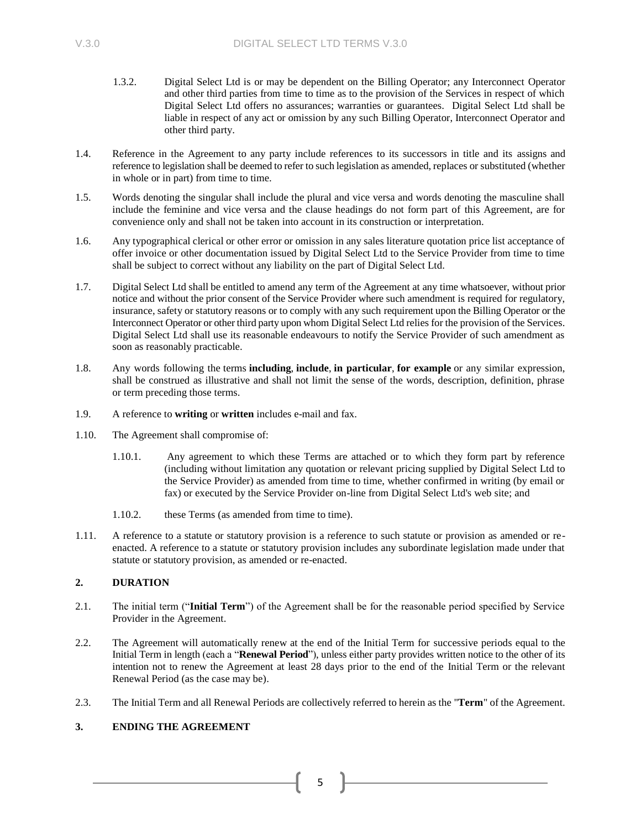- 1.3.2. Digital Select Ltd is or may be dependent on the Billing Operator; any Interconnect Operator and other third parties from time to time as to the provision of the Services in respect of which Digital Select Ltd offers no assurances; warranties or guarantees. Digital Select Ltd shall be liable in respect of any act or omission by any such Billing Operator, Interconnect Operator and other third party.
- 1.4. Reference in the Agreement to any party include references to its successors in title and its assigns and reference to legislation shall be deemed to refer to such legislation as amended, replaces or substituted (whether in whole or in part) from time to time.
- 1.5. Words denoting the singular shall include the plural and vice versa and words denoting the masculine shall include the feminine and vice versa and the clause headings do not form part of this Agreement, are for convenience only and shall not be taken into account in its construction or interpretation.
- 1.6. Any typographical clerical or other error or omission in any sales literature quotation price list acceptance of offer invoice or other documentation issued by Digital Select Ltd to the Service Provider from time to time shall be subject to correct without any liability on the part of Digital Select Ltd.
- 1.7. Digital Select Ltd shall be entitled to amend any term of the Agreement at any time whatsoever, without prior notice and without the prior consent of the Service Provider where such amendment is required for regulatory, insurance, safety or statutory reasons or to comply with any such requirement upon the Billing Operator or the Interconnect Operator or other third party upon whom Digital Select Ltd relies for the provision of the Services. Digital Select Ltd shall use its reasonable endeavours to notify the Service Provider of such amendment as soon as reasonably practicable.
- 1.8. Any words following the terms **including**, **include**, **in particular**, **for example** or any similar expression, shall be construed as illustrative and shall not limit the sense of the words, description, definition, phrase or term preceding those terms.
- 1.9. A reference to **writing** or **written** includes e-mail and fax.
- 1.10. The Agreement shall compromise of:
	- 1.10.1. Any agreement to which these Terms are attached or to which they form part by reference (including without limitation any quotation or relevant pricing supplied by Digital Select Ltd to the Service Provider) as amended from time to time, whether confirmed in writing (by email or fax) or executed by the Service Provider on-line from Digital Select Ltd's web site; and
	- 1.10.2. these Terms (as amended from time to time).
- 1.11. A reference to a statute or statutory provision is a reference to such statute or provision as amended or reenacted. A reference to a statute or statutory provision includes any subordinate legislation made under that statute or statutory provision, as amended or re-enacted.

# **2. DURATION**

- <span id="page-4-0"></span>2.1. The initial term ("**Initial Term**") of the Agreement shall be for the reasonable period specified by Service Provider in the Agreement.
- <span id="page-4-1"></span>2.2. The Agreement will automatically renew at the end of the Initial Term for successive periods equal to the Initial Term in length (each a "**Renewal Period**"), unless either party provides written notice to the other of its intention not to renew the Agreement at least 28 days prior to the end of the Initial Term or the relevant Renewal Period (as the case may be).
- 2.3. The Initial Term and all Renewal Periods are collectively referred to herein as the "**Term**" of the Agreement.

# **3. ENDING THE AGREEMENT**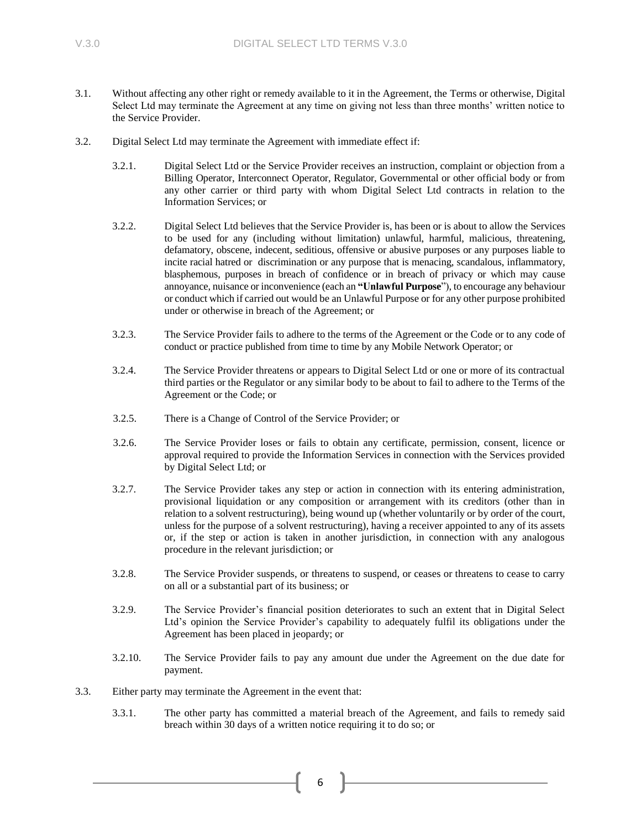- 3.1. Without affecting any other right or remedy available to it in the Agreement, the Terms or otherwise, Digital Select Ltd may terminate the Agreement at any time on giving not less than three months' written notice to the Service Provider.
- <span id="page-5-0"></span>3.2. Digital Select Ltd may terminate the Agreement with immediate effect if:
	- 3.2.1. Digital Select Ltd or the Service Provider receives an instruction, complaint or objection from a Billing Operator, Interconnect Operator, Regulator, Governmental or other official body or from any other carrier or third party with whom Digital Select Ltd contracts in relation to the Information Services; or
	- 3.2.2. Digital Select Ltd believes that the Service Provider is, has been or is about to allow the Services to be used for any (including without limitation) unlawful, harmful, malicious, threatening, defamatory, obscene, indecent, seditious, offensive or abusive purposes or any purposes liable to incite racial hatred or discrimination or any purpose that is menacing, scandalous, inflammatory, blasphemous, purposes in breach of confidence or in breach of privacy or which may cause annoyance, nuisance or inconvenience (each an **"Unlawful Purpose**"), to encourage any behaviour or conduct which if carried out would be an Unlawful Purpose or for any other purpose prohibited under or otherwise in breach of the Agreement; or
	- 3.2.3. The Service Provider fails to adhere to the terms of the Agreement or the Code or to any code of conduct or practice published from time to time by any Mobile Network Operator; or
	- 3.2.4. The Service Provider threatens or appears to Digital Select Ltd or one or more of its contractual third parties or the Regulator or any similar body to be about to fail to adhere to the Terms of the Agreement or the Code; or
	- 3.2.5. There is a Change of Control of the Service Provider; or
	- 3.2.6. The Service Provider loses or fails to obtain any certificate, permission, consent, licence or approval required to provide the Information Services in connection with the Services provided by Digital Select Ltd; or
	- 3.2.7. The Service Provider takes any step or action in connection with its entering administration, provisional liquidation or any composition or arrangement with its creditors (other than in relation to a solvent restructuring), being wound up (whether voluntarily or by order of the court, unless for the purpose of a solvent restructuring), having a receiver appointed to any of its assets or, if the step or action is taken in another jurisdiction, in connection with any analogous procedure in the relevant jurisdiction; or
	- 3.2.8. The Service Provider suspends, or threatens to suspend, or ceases or threatens to cease to carry on all or a substantial part of its business; or
	- 3.2.9. The Service Provider's financial position deteriorates to such an extent that in Digital Select Ltd's opinion the Service Provider's capability to adequately fulfil its obligations under the Agreement has been placed in jeopardy; or
	- 3.2.10. The Service Provider fails to pay any amount due under the Agreement on the due date for payment.
- 3.3. Either party may terminate the Agreement in the event that:
	- 3.3.1. The other party has committed a material breach of the Agreement, and fails to remedy said breach within 30 days of a written notice requiring it to do so; or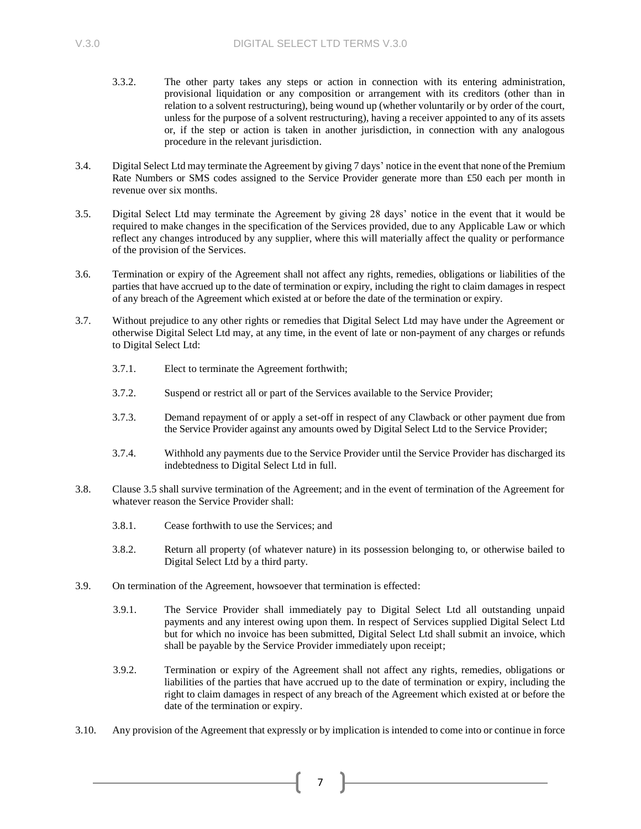- 3.3.2. The other party takes any steps or action in connection with its entering administration, provisional liquidation or any composition or arrangement with its creditors (other than in relation to a solvent restructuring), being wound up (whether voluntarily or by order of the court, unless for the purpose of a solvent restructuring), having a receiver appointed to any of its assets or, if the step or action is taken in another jurisdiction, in connection with any analogous procedure in the relevant jurisdiction.
- 3.4. Digital Select Ltd may terminate the Agreement by giving 7 days' notice in the event that none of the Premium Rate Numbers or SMS codes assigned to the Service Provider generate more than £50 each per month in revenue over six months.
- 3.5. Digital Select Ltd may terminate the Agreement by giving 28 days' notice in the event that it would be required to make changes in the specification of the Services provided, due to any Applicable Law or which reflect any changes introduced by any supplier, where this will materially affect the quality or performance of the provision of the Services.
- 3.6. Termination or expiry of the Agreement shall not affect any rights, remedies, obligations or liabilities of the parties that have accrued up to the date of termination or expiry, including the right to claim damages in respect of any breach of the Agreement which existed at or before the date of the termination or expiry.
- 3.7. Without prejudice to any other rights or remedies that Digital Select Ltd may have under the Agreement or otherwise Digital Select Ltd may, at any time, in the event of late or non-payment of any charges or refunds to Digital Select Ltd:
	- 3.7.1. Elect to terminate the Agreement forthwith;
	- 3.7.2. Suspend or restrict all or part of the Services available to the Service Provider;
	- 3.7.3. Demand repayment of or apply a set-off in respect of any Clawback or other payment due from the Service Provider against any amounts owed by Digital Select Ltd to the Service Provider;
	- 3.7.4. Withhold any payments due to the Service Provider until the Service Provider has discharged its indebtedness to Digital Select Ltd in full.
- 3.8. Clause 3.5 shall survive termination of the Agreement; and in the event of termination of the Agreement for whatever reason the Service Provider shall:
	- 3.8.1. Cease forthwith to use the Services; and
	- 3.8.2. Return all property (of whatever nature) in its possession belonging to, or otherwise bailed to Digital Select Ltd by a third party.
- 3.9. On termination of the Agreement, howsoever that termination is effected:
	- 3.9.1. The Service Provider shall immediately pay to Digital Select Ltd all outstanding unpaid payments and any interest owing upon them. In respect of Services supplied Digital Select Ltd but for which no invoice has been submitted, Digital Select Ltd shall submit an invoice, which shall be payable by the Service Provider immediately upon receipt;
	- 3.9.2. Termination or expiry of the Agreement shall not affect any rights, remedies, obligations or liabilities of the parties that have accrued up to the date of termination or expiry, including the right to claim damages in respect of any breach of the Agreement which existed at or before the date of the termination or expiry.
- 3.10. Any provision of the Agreement that expressly or by implication is intended to come into or continue in force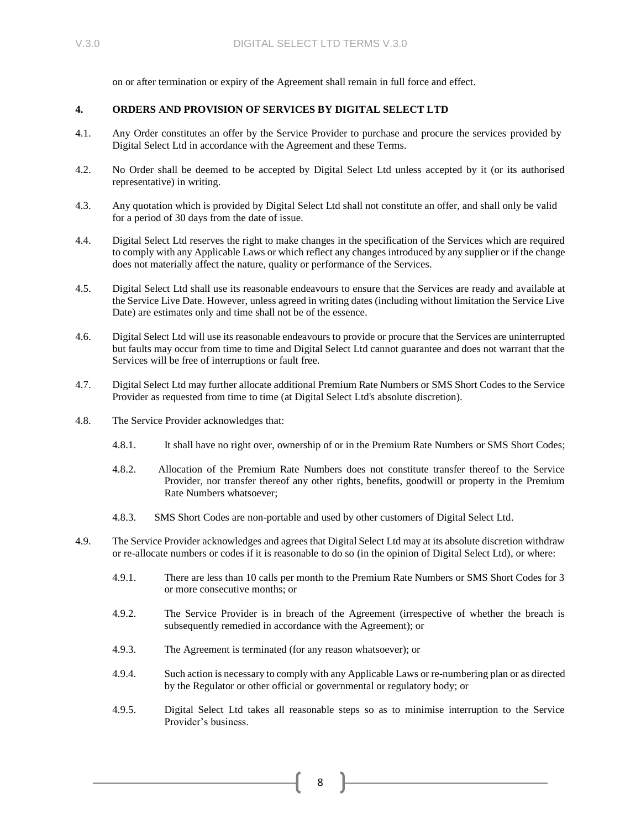on or after termination or expiry of the Agreement shall remain in full force and effect.

# **4. ORDERS AND PROVISION OF SERVICES BY DIGITAL SELECT LTD**

- 4.1. Any Order constitutes an offer by the Service Provider to purchase and procure the services provided by Digital Select Ltd in accordance with the Agreement and these Terms.
- 4.2. No Order shall be deemed to be accepted by Digital Select Ltd unless accepted by it (or its authorised representative) in writing.
- 4.3. Any quotation which is provided by Digital Select Ltd shall not constitute an offer, and shall only be valid for a period of 30 days from the date of issue.
- 4.4. Digital Select Ltd reserves the right to make changes in the specification of the Services which are required to comply with any Applicable Laws or which reflect any changes introduced by any supplier or if the change does not materially affect the nature, quality or performance of the Services.
- 4.5. Digital Select Ltd shall use its reasonable endeavours to ensure that the Services are ready and available at the Service Live Date. However, unless agreed in writing dates (including without limitation the Service Live Date) are estimates only and time shall not be of the essence.
- 4.6. Digital Select Ltd will use its reasonable endeavours to provide or procure that the Services are uninterrupted but faults may occur from time to time and Digital Select Ltd cannot guarantee and does not warrant that the Services will be free of interruptions or fault free.
- 4.7. Digital Select Ltd may further allocate additional Premium Rate Numbers or SMS Short Codes to the Service Provider as requested from time to time (at Digital Select Ltd's absolute discretion).
- 4.8. The Service Provider acknowledges that:
	- 4.8.1. It shall have no right over, ownership of or in the Premium Rate Numbers or SMS Short Codes;
	- 4.8.2. Allocation of the Premium Rate Numbers does not constitute transfer thereof to the Service Provider, nor transfer thereof any other rights, benefits, goodwill or property in the Premium Rate Numbers whatsoever;
	- 4.8.3. SMS Short Codes are non-portable and used by other customers of Digital Select Ltd.
- 4.9. The Service Provider acknowledges and agrees that Digital Select Ltd may at its absolute discretion withdraw or re-allocate numbers or codes if it is reasonable to do so (in the opinion of Digital Select Ltd), or where:
	- 4.9.1. There are less than 10 calls per month to the Premium Rate Numbers or SMS Short Codes for 3 or more consecutive months; or
	- 4.9.2. The Service Provider is in breach of the Agreement (irrespective of whether the breach is subsequently remedied in accordance with the Agreement); or
	- 4.9.3. The Agreement is terminated (for any reason whatsoever); or
	- 4.9.4. Such action is necessary to comply with any Applicable Laws or re-numbering plan or as directed by the Regulator or other official or governmental or regulatory body; or
	- 4.9.5. Digital Select Ltd takes all reasonable steps so as to minimise interruption to the Service Provider's business.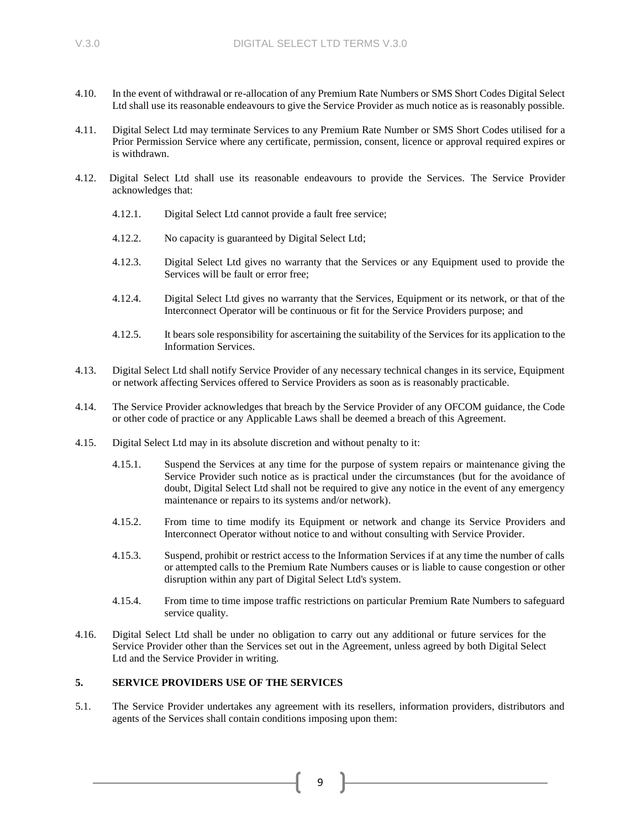- 4.10. In the event of withdrawal or re-allocation of any Premium Rate Numbers or SMS Short Codes Digital Select Ltd shall use its reasonable endeavours to give the Service Provider as much notice as is reasonably possible.
- 4.11. Digital Select Ltd may terminate Services to any Premium Rate Number or SMS Short Codes utilised for a Prior Permission Service where any certificate, permission, consent, licence or approval required expires or is withdrawn.
- 4.12. Digital Select Ltd shall use its reasonable endeavours to provide the Services. The Service Provider acknowledges that:
	- 4.12.1. Digital Select Ltd cannot provide a fault free service;
	- 4.12.2. No capacity is guaranteed by Digital Select Ltd;
	- 4.12.3. Digital Select Ltd gives no warranty that the Services or any Equipment used to provide the Services will be fault or error free;
	- 4.12.4. Digital Select Ltd gives no warranty that the Services, Equipment or its network, or that of the Interconnect Operator will be continuous or fit for the Service Providers purpose; and
	- 4.12.5. It bears sole responsibility for ascertaining the suitability of the Services for its application to the Information Services.
- 4.13. Digital Select Ltd shall notify Service Provider of any necessary technical changes in its service, Equipment or network affecting Services offered to Service Providers as soon as is reasonably practicable.
- 4.14. The Service Provider acknowledges that breach by the Service Provider of any OFCOM guidance, the Code or other code of practice or any Applicable Laws shall be deemed a breach of this Agreement.
- 4.15. Digital Select Ltd may in its absolute discretion and without penalty to it:
	- 4.15.1. Suspend the Services at any time for the purpose of system repairs or maintenance giving the Service Provider such notice as is practical under the circumstances (but for the avoidance of doubt, Digital Select Ltd shall not be required to give any notice in the event of any emergency maintenance or repairs to its systems and/or network).
	- 4.15.2. From time to time modify its Equipment or network and change its Service Providers and Interconnect Operator without notice to and without consulting with Service Provider.
	- 4.15.3. Suspend, prohibit or restrict access to the Information Services if at any time the number of calls or attempted calls to the Premium Rate Numbers causes or is liable to cause congestion or other disruption within any part of Digital Select Ltd's system.
	- 4.15.4. From time to time impose traffic restrictions on particular Premium Rate Numbers to safeguard service quality.
- 4.16. Digital Select Ltd shall be under no obligation to carry out any additional or future services for the Service Provider other than the Services set out in the Agreement, unless agreed by both Digital Select Ltd and the Service Provider in writing.

### **5. SERVICE PROVIDERS USE OF THE SERVICES**

5.1. The Service Provider undertakes any agreement with its resellers, information providers, distributors and agents of the Services shall contain conditions imposing upon them: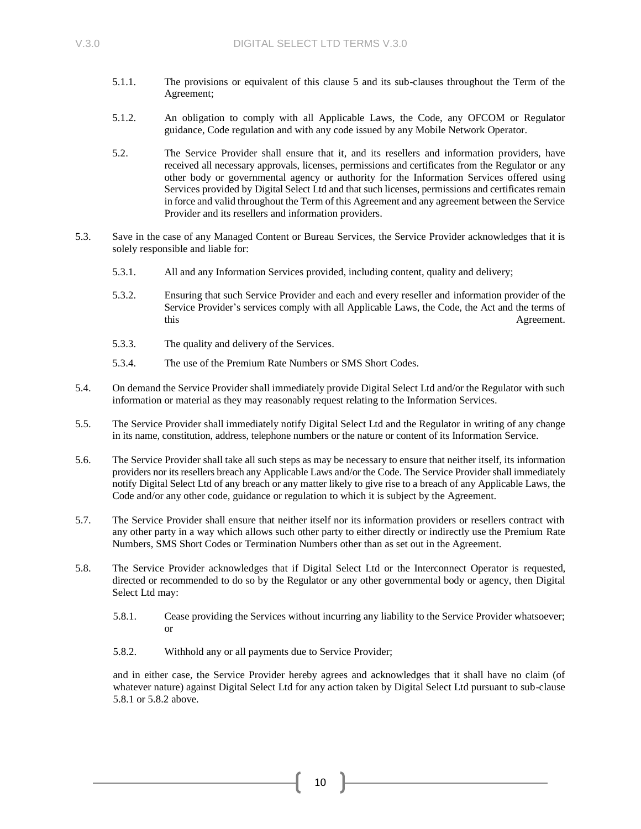- 5.1.1. The provisions or equivalent of this clause 5 and its sub-clauses throughout the Term of the Agreement;
- 5.1.2. An obligation to comply with all Applicable Laws, the Code, any OFCOM or Regulator guidance, Code regulation and with any code issued by any Mobile Network Operator.
- 5.2. The Service Provider shall ensure that it, and its resellers and information providers, have received all necessary approvals, licenses, permissions and certificates from the Regulator or any other body or governmental agency or authority for the Information Services offered using Services provided by Digital Select Ltd and that such licenses, permissions and certificates remain in force and valid throughout the Term of this Agreement and any agreement between the Service Provider and its resellers and information providers.
- 5.3. Save in the case of any Managed Content or Bureau Services, the Service Provider acknowledges that it is solely responsible and liable for:
	- 5.3.1. All and any Information Services provided, including content, quality and delivery;
	- 5.3.2. Ensuring that such Service Provider and each and every reseller and information provider of the Service Provider's services comply with all Applicable Laws, the Code, the Act and the terms of this Agreement.
	- 5.3.3. The quality and delivery of the Services.
	- 5.3.4. The use of the Premium Rate Numbers or SMS Short Codes.
- 5.4. On demand the Service Provider shall immediately provide Digital Select Ltd and/or the Regulator with such information or material as they may reasonably request relating to the Information Services.
- 5.5. The Service Provider shall immediately notify Digital Select Ltd and the Regulator in writing of any change in its name, constitution, address, telephone numbers or the nature or content of its Information Service.
- 5.6. The Service Provider shall take all such steps as may be necessary to ensure that neither itself, its information providers nor its resellers breach any Applicable Laws and/or the Code. The Service Provider shall immediately notify Digital Select Ltd of any breach or any matter likely to give rise to a breach of any Applicable Laws, the Code and/or any other code, guidance or regulation to which it is subject by the Agreement.
- 5.7. The Service Provider shall ensure that neither itself nor its information providers or resellers contract with any other party in a way which allows such other party to either directly or indirectly use the Premium Rate Numbers, SMS Short Codes or Termination Numbers other than as set out in the Agreement.
- 5.8. The Service Provider acknowledges that if Digital Select Ltd or the Interconnect Operator is requested, directed or recommended to do so by the Regulator or any other governmental body or agency, then Digital Select Ltd may:
	- 5.8.1. Cease providing the Services without incurring any liability to the Service Provider whatsoever; or
	- 5.8.2. Withhold any or all payments due to Service Provider;

and in either case, the Service Provider hereby agrees and acknowledges that it shall have no claim (of whatever nature) against Digital Select Ltd for any action taken by Digital Select Ltd pursuant to sub-clause 5.8.1 or 5.8.2 above.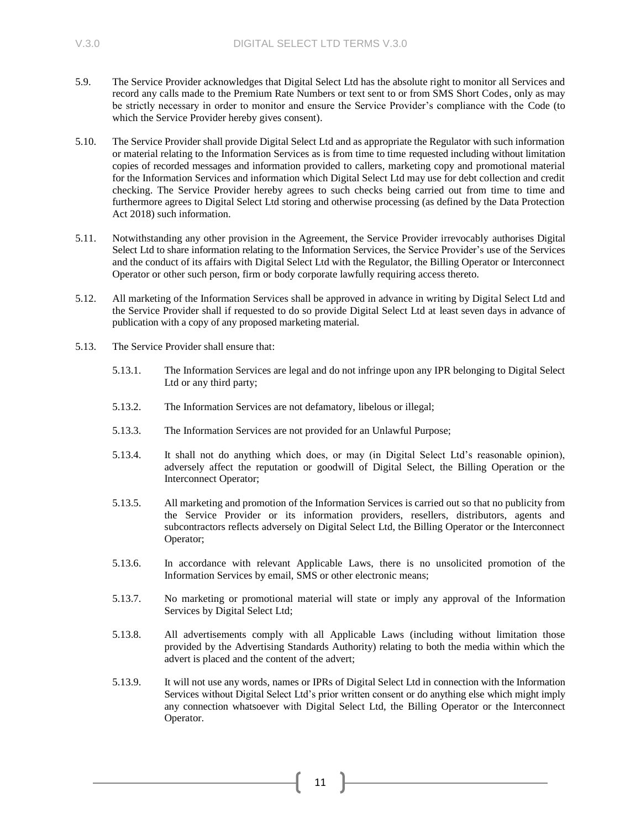- <span id="page-10-0"></span>5.9. The Service Provider acknowledges that Digital Select Ltd has the absolute right to monitor all Services and record any calls made to the Premium Rate Numbers or text sent to or from SMS Short Codes, only as may be strictly necessary in order to monitor and ensure the Service Provider's compliance with the Code (to which the Service Provider hereby gives consent).
- 5.10. The Service Provider shall provide Digital Select Ltd and as appropriate the Regulator with such information or material relating to the Information Services as is from time to time requested including without limitation copies of recorded messages and information provided to callers, marketing copy and promotional material for the Information Services and information which Digital Select Ltd may use for debt collection and credit checking. The Service Provider hereby agrees to such checks being carried out from time to time and furthermore agrees to Digital Select Ltd storing and otherwise processing (as defined by the Data Protection Act 2018) such information.
- 5.11. Notwithstanding any other provision in the Agreement, the Service Provider irrevocably authorises Digital Select Ltd to share information relating to the Information Services, the Service Provider's use of the Services and the conduct of its affairs with Digital Select Ltd with the Regulator, the Billing Operator or Interconnect Operator or other such person, firm or body corporate lawfully requiring access thereto.
- 5.12. All marketing of the Information Services shall be approved in advance in writing by Digital Select Ltd and the Service Provider shall if requested to do so provide Digital Select Ltd at least seven days in advance of publication with a copy of any proposed marketing material.
- 5.13. The Service Provider shall ensure that:
	- 5.13.1. The Information Services are legal and do not infringe upon any IPR belonging to Digital Select Ltd or any third party;
	- 5.13.2. The Information Services are not defamatory, libelous or illegal;
	- 5.13.3. The Information Services are not provided for an Unlawful Purpose;
	- 5.13.4. It shall not do anything which does, or may (in Digital Select Ltd's reasonable opinion), adversely affect the reputation or goodwill of Digital Select, the Billing Operation or the Interconnect Operator;
	- 5.13.5. All marketing and promotion of the Information Services is carried out so that no publicity from the Service Provider or its information providers, resellers, distributors, agents and subcontractors reflects adversely on Digital Select Ltd, the Billing Operator or the Interconnect Operator;
	- 5.13.6. In accordance with relevant Applicable Laws, there is no unsolicited promotion of the Information Services by email, SMS or other electronic means;
	- 5.13.7. No marketing or promotional material will state or imply any approval of the Information Services by Digital Select Ltd;
	- 5.13.8. All advertisements comply with all Applicable Laws (including without limitation those provided by the Advertising Standards Authority) relating to both the media within which the advert is placed and the content of the advert;
	- 5.13.9. It will not use any words, names or IPRs of Digital Select Ltd in connection with the Information Services without Digital Select Ltd's prior written consent or do anything else which might imply any connection whatsoever with Digital Select Ltd, the Billing Operator or the Interconnect Operator.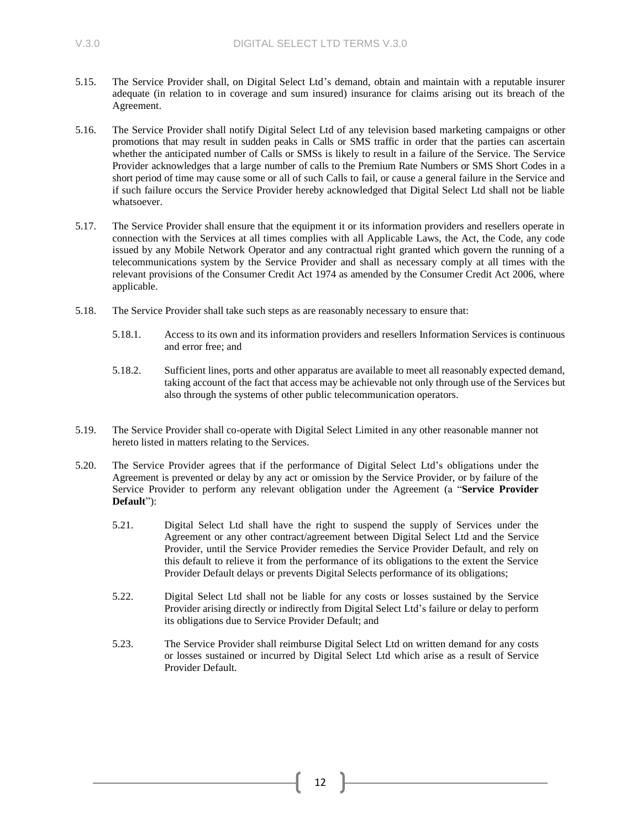- 5.15. The Service Provider shall, on Digital Select Ltd's demand, obtain and maintain with a reputable insurer adequate (in relation to in coverage and sum insured) insurance for claims arising out its breach of the Agreement.
- 5.16. The Service Provider shall notify Digital Select Ltd of any television based marketing campaigns or other promotions that may result in sudden peaks in Calls or SMS traffic in order that the parties can ascertain whether the anticipated number of Calls or SMSs is likely to result in a failure of the Service. The Service Provider acknowledges that a large number of calls to the Premium Rate Numbers or SMS Short Codes in a short period of time may cause some or all of such Calls to fail, or cause a general failure in the Service and if such failure occurs the Service Provider hereby acknowledged that Digital Select Ltd shall not be liable whatsoever.
- 5.17. The Service Provider shall ensure that the equipment it or its information providers and resellers operate in connection with the Services at all times complies with all Applicable Laws, the Act, the Code, any code issued by any Mobile Network Operator and any contractual right granted which govern the running of a telecommunications system by the Service Provider and shall as necessary comply at all times with the relevant provisions of the Consumer Credit Act 1974 as amended by the Consumer Credit Act 2006, where applicable.
- 5.18. The Service Provider shall take such steps as are reasonably necessary to ensure that:
	- 5.18.1. Access to its own and its information providers and resellers Information Services is continuous and error free; and
	- 5.18.2. Sufficient lines, ports and other apparatus are available to meet all reasonably expected demand, taking account of the fact that access may be achievable not only through use of the Services but also through the systems of other public telecommunication operators.
- 5.19. The Service Provider shall co-operate with Digital Select Limited in any other reasonable manner not hereto listed in matters relating to the Services.
- 5.20. The Service Provider agrees that if the performance of Digital Select Ltd's obligations under the Agreement is prevented or delay by any act or omission by the Service Provider, or by failure of the Service Provider to perform any relevant obligation under the Agreement (a "**Service Provider Default**"):
	- 5.21. Digital Select Ltd shall have the right to suspend the supply of Services under the Agreement or any other contract/agreement between Digital Select Ltd and the Service Provider, until the Service Provider remedies the Service Provider Default, and rely on this default to relieve it from the performance of its obligations to the extent the Service Provider Default delays or prevents Digital Selects performance of its obligations;
	- 5.22. Digital Select Ltd shall not be liable for any costs or losses sustained by the Service Provider arising directly or indirectly from Digital Select Ltd's failure or delay to perform its obligations due to Service Provider Default; and
	- 5.23. The Service Provider shall reimburse Digital Select Ltd on written demand for any costs or losses sustained or incurred by Digital Select Ltd which arise as a result of Service Provider Default.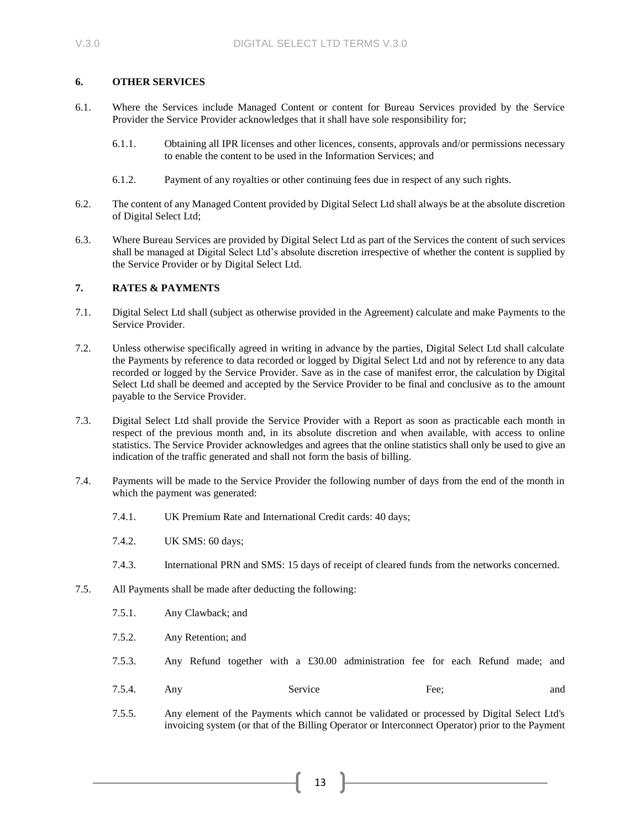### **6. OTHER SERVICES**

- 6.1. Where the Services include Managed Content or content for Bureau Services provided by the Service Provider the Service Provider acknowledges that it shall have sole responsibility for;
	- 6.1.1. Obtaining all IPR licenses and other licences, consents, approvals and/or permissions necessary to enable the content to be used in the Information Services; and
	- 6.1.2. Payment of any royalties or other continuing fees due in respect of any such rights.
- 6.2. The content of any Managed Content provided by Digital Select Ltd shall always be at the absolute discretion of Digital Select Ltd;
- 6.3. Where Bureau Services are provided by Digital Select Ltd as part of the Services the content of such services shall be managed at Digital Select Ltd's absolute discretion irrespective of whether the content is supplied by the Service Provider or by Digital Select Ltd.

### **7. RATES & PAYMENTS**

- 7.1. Digital Select Ltd shall (subject as otherwise provided in the Agreement) calculate and make Payments to the Service Provider.
- 7.2. Unless otherwise specifically agreed in writing in advance by the parties, Digital Select Ltd shall calculate the Payments by reference to data recorded or logged by Digital Select Ltd and not by reference to any data recorded or logged by the Service Provider. Save as in the case of manifest error, the calculation by Digital Select Ltd shall be deemed and accepted by the Service Provider to be final and conclusive as to the amount payable to the Service Provider.
- 7.3. Digital Select Ltd shall provide the Service Provider with a Report as soon as practicable each month in respect of the previous month and, in its absolute discretion and when available, with access to online statistics. The Service Provider acknowledges and agrees that the online statistics shall only be used to give an indication of the traffic generated and shall not form the basis of billing.
- 7.4. Payments will be made to the Service Provider the following number of days from the end of the month in which the payment was generated:
	- 7.4.1. UK Premium Rate and International Credit cards: 40 days;
	- 7.4.2. UK SMS: 60 days;
	- 7.4.3. International PRN and SMS: 15 days of receipt of cleared funds from the networks concerned.
- <span id="page-12-0"></span>7.5. All Payments shall be made after deducting the following:
	- 7.5.1. Any Clawback; and
	- 7.5.2. Any Retention; and
	- 7.5.3. Any Refund together with a £30.00 administration fee for each Refund made; and
	- 7.5.4. Any Service Fee; and
	- 7.5.5. Any element of the Payments which cannot be validated or processed by Digital Select Ltd's invoicing system (or that of the Billing Operator or Interconnect Operator) prior to the Payment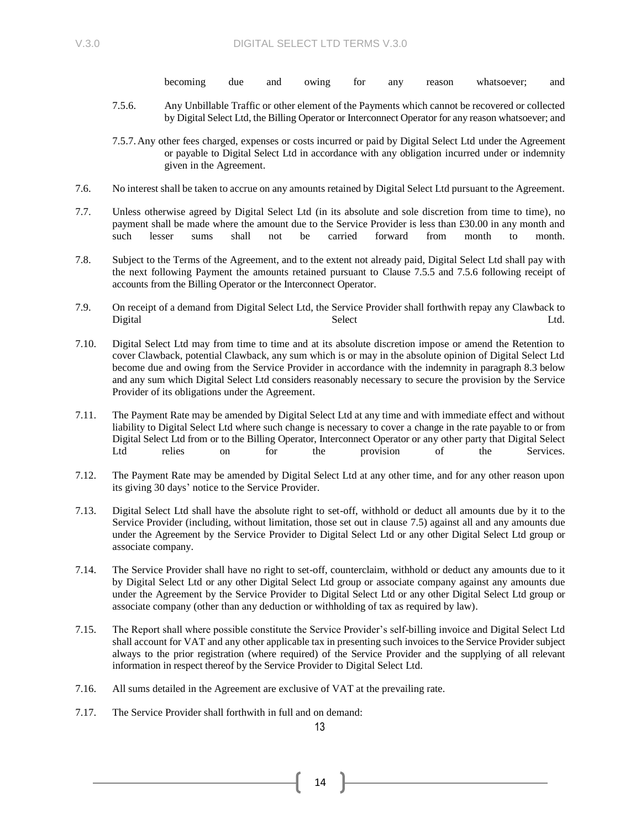becoming due and owing for any reason whatsoever; and

7.5.6. Any Unbillable Traffic or other element of the Payments which cannot be recovered or collected by Digital Select Ltd, the Billing Operator or Interconnect Operator for any reason whatsoever; and

7.5.7.Any other fees charged, expenses or costs incurred or paid by Digital Select Ltd under the Agreement or payable to Digital Select Ltd in accordance with any obligation incurred under or indemnity given in the Agreement.

- 7.6. No interest shall be taken to accrue on any amounts retained by Digital Select Ltd pursuant to the Agreement.
- 7.7. Unless otherwise agreed by Digital Select Ltd (in its absolute and sole discretion from time to time), no payment shall be made where the amount due to the Service Provider is less than £30.00 in any month and such lesser sums shall not be carried forward from month to month.
- 7.8. Subject to the Terms of the Agreement, and to the extent not already paid, Digital Select Ltd shall pay with the next following Payment the amounts retained pursuant to Clause 7.5.5 and 7.5.6 following receipt of accounts from the Billing Operator or the Interconnect Operator.
- 7.9. On receipt of a demand from Digital Select Ltd, the Service Provider shall forthwith repay any Clawback to Digital Ltd. Contact Contact Select Contact Contact Contact Contact Contact Contact Contact Contact Contact Co
- 7.10. Digital Select Ltd may from time to time and at its absolute discretion impose or amend the Retention to cover Clawback, potential Clawback, any sum which is or may in the absolute opinion of Digital Select Ltd become due and owing from the Service Provider in accordance with the indemnity in paragraph 8.3 below and any sum which Digital Select Ltd considers reasonably necessary to secure the provision by the Service Provider of its obligations under the Agreement.
- 7.11. The Payment Rate may be amended by Digital Select Ltd at any time and with immediate effect and without liability to Digital Select Ltd where such change is necessary to cover a change in the rate payable to or from Digital Select Ltd from or to the Billing Operator, Interconnect Operator or any other party that Digital Select Ltd relies on for the provision of the Services.
- 7.12. The Payment Rate may be amended by Digital Select Ltd at any other time, and for any other reason upon its giving 30 days' notice to the Service Provider.
- 7.13. Digital Select Ltd shall have the absolute right to set-off, withhold or deduct all amounts due by it to the Service Provider (including, without limitation, those set out in clause [7.5\)](#page-12-0) against all and any amounts due under the Agreement by the Service Provider to Digital Select Ltd or any other Digital Select Ltd group or associate company.
- 7.14. The Service Provider shall have no right to set-off, counterclaim, withhold or deduct any amounts due to it by Digital Select Ltd or any other Digital Select Ltd group or associate company against any amounts due under the Agreement by the Service Provider to Digital Select Ltd or any other Digital Select Ltd group or associate company (other than any deduction or withholding of tax as required by law).
- 7.15. The Report shall where possible constitute the Service Provider's self-billing invoice and Digital Select Ltd shall account for VAT and any other applicable tax in presenting such invoices to the Service Provider subject always to the prior registration (where required) of the Service Provider and the supplying of all relevant information in respect thereof by the Service Provider to Digital Select Ltd.
- 7.16. All sums detailed in the Agreement are exclusive of VAT at the prevailing rate.
- 7.17. The Service Provider shall forthwith in full and on demand:

13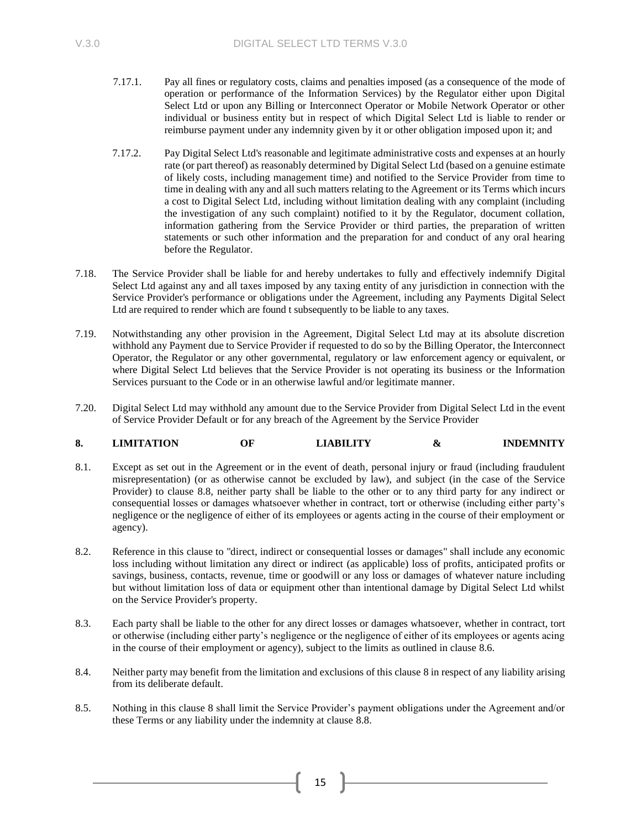- 7.17.1. Pay all fines or regulatory costs, claims and penalties imposed (as a consequence of the mode of operation or performance of the Information Services) by the Regulator either upon Digital Select Ltd or upon any Billing or Interconnect Operator or Mobile Network Operator or other individual or business entity but in respect of which Digital Select Ltd is liable to render or reimburse payment under any indemnity given by it or other obligation imposed upon it; and
- 7.17.2. Pay Digital Select Ltd's reasonable and legitimate administrative costs and expenses at an hourly rate (or part thereof) as reasonably determined by Digital Select Ltd (based on a genuine estimate of likely costs, including management time) and notified to the Service Provider from time to time in dealing with any and all such matters relating to the Agreement or its Terms which incurs a cost to Digital Select Ltd, including without limitation dealing with any complaint (including the investigation of any such complaint) notified to it by the Regulator, document collation, information gathering from the Service Provider or third parties, the preparation of written statements or such other information and the preparation for and conduct of any oral hearing before the Regulator.
- 7.18. The Service Provider shall be liable for and hereby undertakes to fully and effectively indemnify Digital Select Ltd against any and all taxes imposed by any taxing entity of any jurisdiction in connection with the Service Provider's performance or obligations under the Agreement, including any Payments Digital Select Ltd are required to render which are found t subsequently to be liable to any taxes.
- 7.19. Notwithstanding any other provision in the Agreement, Digital Select Ltd may at its absolute discretion withhold any Payment due to Service Provider if requested to do so by the Billing Operator, the Interconnect Operator, the Regulator or any other governmental, regulatory or law enforcement agency or equivalent, or where Digital Select Ltd believes that the Service Provider is not operating its business or the Information Services pursuant to the Code or in an otherwise lawful and/or legitimate manner.
- 7.20. Digital Select Ltd may withhold any amount due to the Service Provider from Digital Select Ltd in the event of Service Provider Default or for any breach of the Agreement by the Service Provider

# <span id="page-14-0"></span>**8. LIMITATION OF LIABILITY & INDEMNITY**

- 8.1. Except as set out in the Agreement or in the event of death, personal injury or fraud (including fraudulent misrepresentation) (or as otherwise cannot be excluded by law), and subject (in the case of the Service Provider) to clause [8.8,](#page-15-0) neither party shall be liable to the other or to any third party for any indirect or consequential losses or damages whatsoever whether in contract, tort or otherwise (including either party's negligence or the negligence of either of its employees or agents acting in the course of their employment or agency).
- 8.2. Reference in this clause to "direct, indirect or consequential losses or damages" shall include any economic loss including without limitation any direct or indirect (as applicable) loss of profits, anticipated profits or savings, business, contacts, revenue, time or goodwill or any loss or damages of whatever nature including but without limitation loss of data or equipment other than intentional damage by Digital Select Ltd whilst on the Service Provider's property.
- 8.3. Each party shall be liable to the other for any direct losses or damages whatsoever, whether in contract, tort or otherwise (including either party's negligence or the negligence of either of its employees or agents acing in the course of their employment or agency), subject to the limits as outlined in claus[e 8.6.](#page-15-1)
- <span id="page-14-1"></span>8.4. Neither party may benefit from the limitation and exclusions of this claus[e 8](#page-14-0) in respect of any liability arising from its deliberate default.
- 8.5. Nothing in this clause [8](#page-14-0) shall limit the Service Provider's payment obligations under the Agreement and/or these Terms or any liability under the indemnity at clause [8.8.](#page-15-0)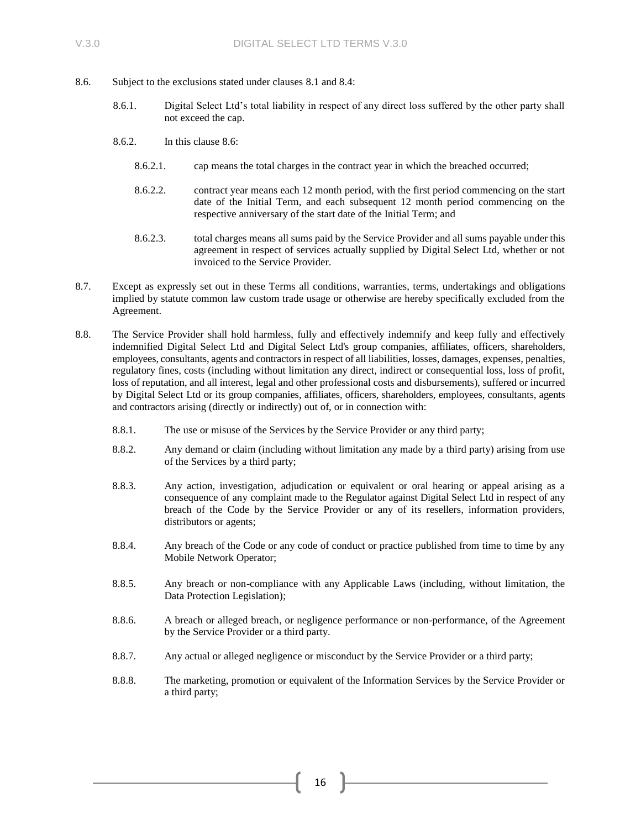- <span id="page-15-1"></span>8.6. Subject to the exclusions stated under clauses 8.1 and [8.4:](#page-14-1)
	- 8.6.1. Digital Select Ltd's total liability in respect of any direct loss suffered by the other party shall not exceed the cap.
	- 8.6.2. In this clause [8.6:](#page-15-1)
		- 8.6.2.1. cap means the total charges in the contract year in which the breached occurred;
		- 8.6.2.2. contract year means each 12 month period, with the first period commencing on the start date of the Initial Term, and each subsequent 12 month period commencing on the respective anniversary of the start date of the Initial Term; and
		- 8.6.2.3. total charges means all sums paid by the Service Provider and all sums payable under this agreement in respect of services actually supplied by Digital Select Ltd, whether or not invoiced to the Service Provider.
- 8.7. Except as expressly set out in these Terms all conditions, warranties, terms, undertakings and obligations implied by statute common law custom trade usage or otherwise are hereby specifically excluded from the Agreement.
- <span id="page-15-0"></span>8.8. The Service Provider shall hold harmless, fully and effectively indemnify and keep fully and effectively indemnified Digital Select Ltd and Digital Select Ltd's group companies, affiliates, officers, shareholders, employees, consultants, agents and contractorsin respect of all liabilities, losses, damages, expenses, penalties, regulatory fines, costs (including without limitation any direct, indirect or consequential loss, loss of profit, loss of reputation, and all interest, legal and other professional costs and disbursements), suffered or incurred by Digital Select Ltd or its group companies, affiliates, officers, shareholders, employees, consultants, agents and contractors arising (directly or indirectly) out of, or in connection with:
	- 8.8.1. The use or misuse of the Services by the Service Provider or any third party;
	- 8.8.2. Any demand or claim (including without limitation any made by a third party) arising from use of the Services by a third party;
	- 8.8.3. Any action, investigation, adjudication or equivalent or oral hearing or appeal arising as a consequence of any complaint made to the Regulator against Digital Select Ltd in respect of any breach of the Code by the Service Provider or any of its resellers, information providers, distributors or agents;
	- 8.8.4. Any breach of the Code or any code of conduct or practice published from time to time by any Mobile Network Operator;
	- 8.8.5. Any breach or non-compliance with any Applicable Laws (including, without limitation, the Data Protection Legislation);
	- 8.8.6. A breach or alleged breach, or negligence performance or non-performance, of the Agreement by the Service Provider or a third party.
	- 8.8.7. Any actual or alleged negligence or misconduct by the Service Provider or a third party;
	- 8.8.8. The marketing, promotion or equivalent of the Information Services by the Service Provider or a third party;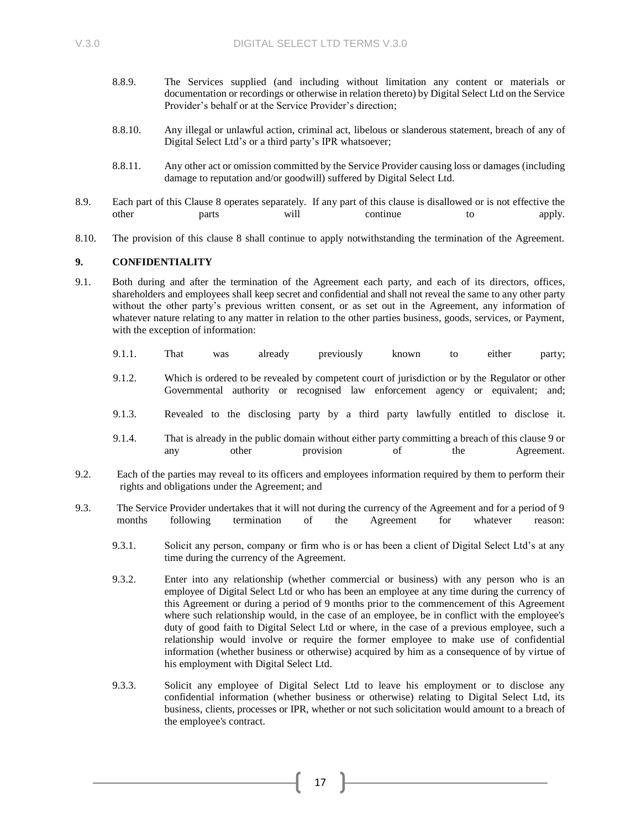- 8.8.9. The Services supplied (and including without limitation any content or materials or documentation or recordings or otherwise in relation thereto) by Digital Select Ltd on the Service Provider's behalf or at the Service Provider's direction;
- 8.8.10. Any illegal or unlawful action, criminal act, libelous or slanderous statement, breach of any of Digital Select Ltd's or a third party's IPR whatsoever;
- 8.8.11. Any other act or omission committed by the Service Provider causing loss or damages (including damage to reputation and/or goodwill) suffered by Digital Select Ltd.
- 8.9. Each part of this Clause 8 operates separately. If any part of this clause is disallowed or is not effective the other **parts** will continue to apply.
- 8.10. The provision of this clause 8 shall continue to apply notwithstanding the termination of the Agreement.

### **9. CONFIDENTIALITY**

- 9.1. Both during and after the termination of the Agreement each party, and each of its directors, offices, shareholders and employees shall keep secret and confidential and shall not reveal the same to any other party without the other party's previous written consent, or as set out in the Agreement, any information of whatever nature relating to any matter in relation to the other parties business, goods, services, or Payment, with the exception of information:
	- 9.1.1. That was already previously known to either party;
	- 9.1.2. Which is ordered to be revealed by competent court of jurisdiction or by the Regulator or other Governmental authority or recognised law enforcement agency or equivalent; and;
	- 9.1.3. Revealed to the disclosing party by a third party lawfully entitled to disclose it.
	- 9.1.4. That is already in the public domain without either party committing a breach of this clause 9 or any other provision of the Agreement.
- 9.2. Each of the parties may reveal to its officers and employees information required by them to perform their rights and obligations under the Agreement; and
- 9.3. The Service Provider undertakes that it will not during the currency of the Agreement and for a period of 9 months following termination of the Agreement for whatever reason:
	- 9.3.1. Solicit any person, company or firm who is or has been a client of Digital Select Ltd's at any time during the currency of the Agreement.
	- 9.3.2. Enter into any relationship (whether commercial or business) with any person who is an employee of Digital Select Ltd or who has been an employee at any time during the currency of this Agreement or during a period of 9 months prior to the commencement of this Agreement where such relationship would, in the case of an employee, be in conflict with the employee's duty of good faith to Digital Select Ltd or where, in the case of a previous employee, such a relationship would involve or require the former employee to make use of confidential information (whether business or otherwise) acquired by him as a consequence of by virtue of his employment with Digital Select Ltd.
	- 9.3.3. Solicit any employee of Digital Select Ltd to leave his employment or to disclose any confidential information (whether business or otherwise) relating to Digital Select Ltd, its business, clients, processes or IPR, whether or not such solicitation would amount to a breach of the employee's contract.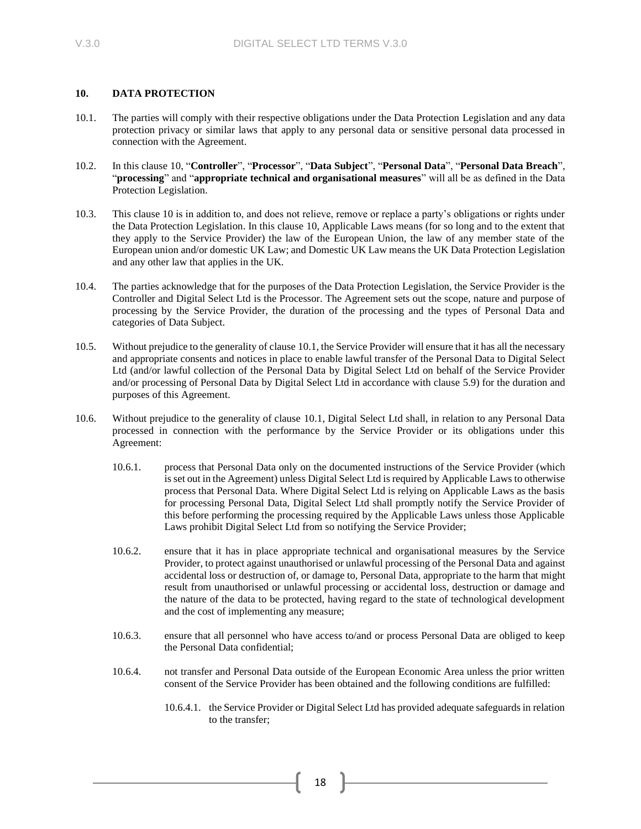### <span id="page-17-0"></span>**10. DATA PROTECTION**

- <span id="page-17-1"></span>10.1. The parties will comply with their respective obligations under the Data Protection Legislation and any data protection privacy or similar laws that apply to any personal data or sensitive personal data processed in connection with the Agreement.
- 10.2. In this claus[e 10,](#page-17-0) "**Controller**", "**Processor**", "**Data Subject**", "**Personal Data**", "**Personal Data Breach**", "**processing**" and "**appropriate technical and organisational measures**" will all be as defined in the Data Protection Legislation.
- 10.3. This clause [10](#page-17-0) is in addition to, and does not relieve, remove or replace a party's obligations or rights under the Data Protection Legislation. In this clause [10,](#page-17-0) Applicable Laws means (for so long and to the extent that they apply to the Service Provider) the law of the European Union, the law of any member state of the European union and/or domestic UK Law; and Domestic UK Law means the UK Data Protection Legislation and any other law that applies in the UK.
- 10.4. The parties acknowledge that for the purposes of the Data Protection Legislation, the Service Provider is the Controller and Digital Select Ltd is the Processor. The Agreement sets out the scope, nature and purpose of processing by the Service Provider, the duration of the processing and the types of Personal Data and categories of Data Subject.
- 10.5. Without prejudice to the generality of claus[e 10.1,](#page-17-1) the Service Provider will ensure that it has all the necessary and appropriate consents and notices in place to enable lawful transfer of the Personal Data to Digital Select Ltd (and/or lawful collection of the Personal Data by Digital Select Ltd on behalf of the Service Provider and/or processing of Personal Data by Digital Select Ltd in accordance with clause [5.9\)](#page-10-0) for the duration and purposes of this Agreement.
- 10.6. Without prejudice to the generality of clause [10.1,](#page-17-1) Digital Select Ltd shall, in relation to any Personal Data processed in connection with the performance by the Service Provider or its obligations under this Agreement:
	- 10.6.1. process that Personal Data only on the documented instructions of the Service Provider (which is set out in the Agreement) unless Digital Select Ltd is required by Applicable Laws to otherwise process that Personal Data. Where Digital Select Ltd is relying on Applicable Laws as the basis for processing Personal Data, Digital Select Ltd shall promptly notify the Service Provider of this before performing the processing required by the Applicable Laws unless those Applicable Laws prohibit Digital Select Ltd from so notifying the Service Provider;
	- 10.6.2. ensure that it has in place appropriate technical and organisational measures by the Service Provider, to protect against unauthorised or unlawful processing of the Personal Data and against accidental loss or destruction of, or damage to, Personal Data, appropriate to the harm that might result from unauthorised or unlawful processing or accidental loss, destruction or damage and the nature of the data to be protected, having regard to the state of technological development and the cost of implementing any measure;
	- 10.6.3. ensure that all personnel who have access to/and or process Personal Data are obliged to keep the Personal Data confidential;
	- 10.6.4. not transfer and Personal Data outside of the European Economic Area unless the prior written consent of the Service Provider has been obtained and the following conditions are fulfilled:
		- 10.6.4.1. the Service Provider or Digital Select Ltd has provided adequate safeguards in relation to the transfer;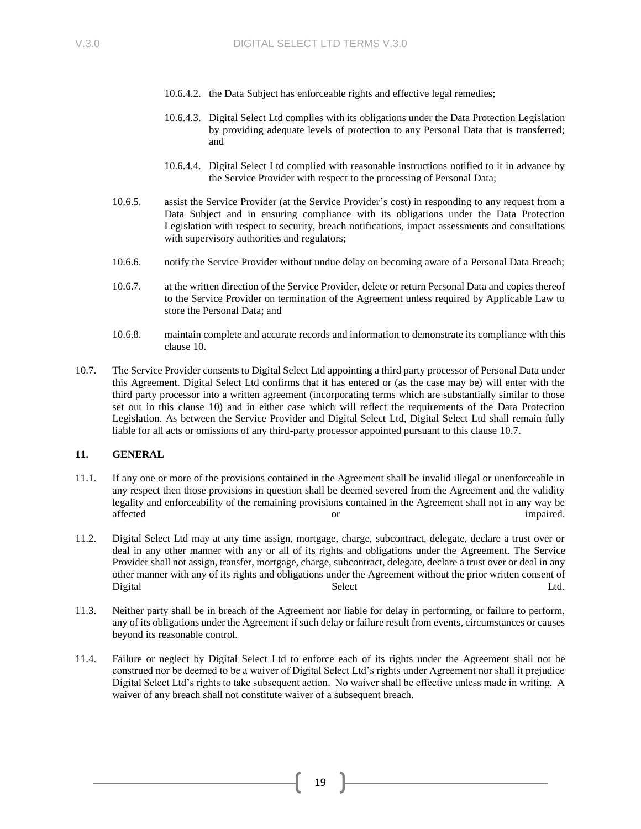- 10.6.4.2. the Data Subject has enforceable rights and effective legal remedies;
- 10.6.4.3. Digital Select Ltd complies with its obligations under the Data Protection Legislation by providing adequate levels of protection to any Personal Data that is transferred; and
- 10.6.4.4. Digital Select Ltd complied with reasonable instructions notified to it in advance by the Service Provider with respect to the processing of Personal Data;
- 10.6.5. assist the Service Provider (at the Service Provider's cost) in responding to any request from a Data Subject and in ensuring compliance with its obligations under the Data Protection Legislation with respect to security, breach notifications, impact assessments and consultations with supervisory authorities and regulators;
- 10.6.6. notify the Service Provider without undue delay on becoming aware of a Personal Data Breach;
- 10.6.7. at the written direction of the Service Provider, delete or return Personal Data and copies thereof to the Service Provider on termination of the Agreement unless required by Applicable Law to store the Personal Data; and
- 10.6.8. maintain complete and accurate records and information to demonstrate its compliance with this claus[e 10.](#page-17-0)
- <span id="page-18-0"></span>10.7. The Service Provider consents to Digital Select Ltd appointing a third party processor of Personal Data under this Agreement. Digital Select Ltd confirms that it has entered or (as the case may be) will enter with the third party processor into a written agreement (incorporating terms which are substantially similar to those set out in this clause [10\)](#page-17-0) and in either case which will reflect the requirements of the Data Protection Legislation. As between the Service Provider and Digital Select Ltd, Digital Select Ltd shall remain fully liable for all acts or omissions of any third-party processor appointed pursuant to this clause [10.7.](#page-18-0)

### **11. GENERAL**

- 11.1. If any one or more of the provisions contained in the Agreement shall be invalid illegal or unenforceable in any respect then those provisions in question shall be deemed severed from the Agreement and the validity legality and enforceability of the remaining provisions contained in the Agreement shall not in any way be affected or impaired.
- 11.2. Digital Select Ltd may at any time assign, mortgage, charge, subcontract, delegate, declare a trust over or deal in any other manner with any or all of its rights and obligations under the Agreement. The Service Provider shall not assign, transfer, mortgage, charge, subcontract, delegate, declare a trust over or deal in any other manner with any of its rights and obligations under the Agreement without the prior written consent of Digital Ltd. Contact Contact Select Contact Contact Contact Contact Contact Contact Contact Contact Contact Co
- 11.3. Neither party shall be in breach of the Agreement nor liable for delay in performing, or failure to perform, any of its obligations under the Agreement if such delay or failure result from events, circumstances or causes beyond its reasonable control.
- 11.4. Failure or neglect by Digital Select Ltd to enforce each of its rights under the Agreement shall not be construed nor be deemed to be a waiver of Digital Select Ltd's rights under Agreement nor shall it prejudice Digital Select Ltd's rights to take subsequent action. No waiver shall be effective unless made in writing. A waiver of any breach shall not constitute waiver of a subsequent breach.